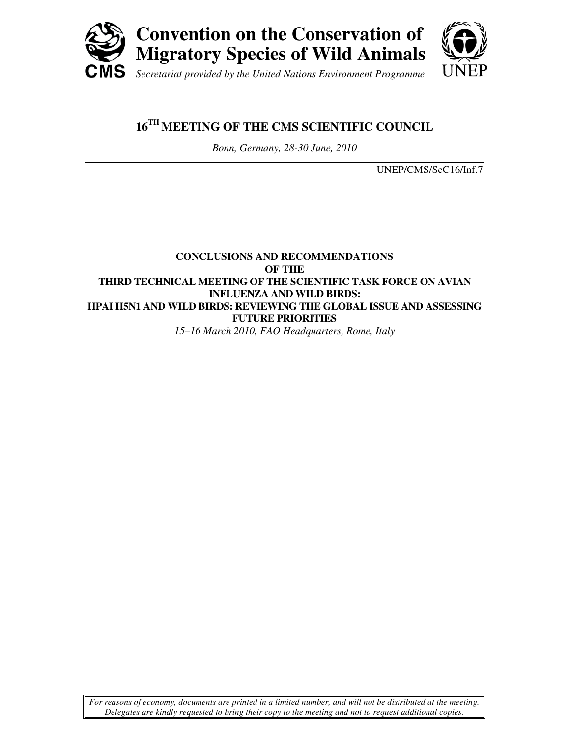

# **16TH MEETING OF THE CMS SCIENTIFIC COUNCIL**

*Bonn, Germany, 28-30 June, 2010* 

UNEP/CMS/ScC16/Inf.7

### **CONCLUSIONS AND RECOMMENDATIONS OF THE THIRD TECHNICAL MEETING OF THE SCIENTIFIC TASK FORCE ON AVIAN INFLUENZA AND WILD BIRDS: HPAI H5N1 AND WILD BIRDS: REVIEWING THE GLOBAL ISSUE AND ASSESSING FUTURE PRIORITIES**  *15–16 March 2010, FAO Headquarters, Rome, Italy*

*For reasons of economy, documents are printed in a limited number, and will not be distributed at the meeting. Delegates are kindly requested to bring their copy to the meeting and not to request additional copies.*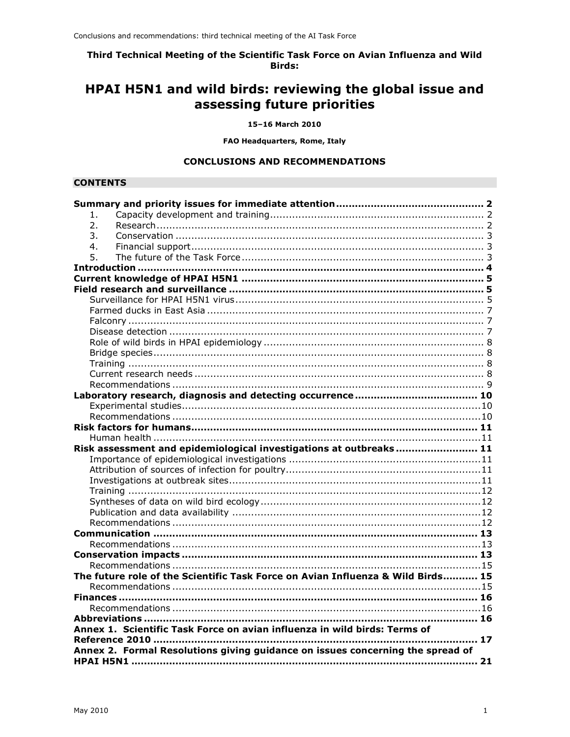Third Technical Meeting of the Scientific Task Force on Avian Influenza and Wild **Birds:** 

# HPAI H5N1 and wild birds: reviewing the global issue and assessing future priorities

15-16 March 2010

FAO Headquarters, Rome, Italy

#### **CONCLUSIONS AND RECOMMENDATIONS**

#### **CONTENTS**

| 1 <sub>1</sub>                                                            |                                                                                 |  |  |  |  |  |
|---------------------------------------------------------------------------|---------------------------------------------------------------------------------|--|--|--|--|--|
| 2.                                                                        |                                                                                 |  |  |  |  |  |
| 3.                                                                        |                                                                                 |  |  |  |  |  |
| 4.                                                                        |                                                                                 |  |  |  |  |  |
| 5.                                                                        |                                                                                 |  |  |  |  |  |
|                                                                           |                                                                                 |  |  |  |  |  |
|                                                                           |                                                                                 |  |  |  |  |  |
|                                                                           |                                                                                 |  |  |  |  |  |
|                                                                           |                                                                                 |  |  |  |  |  |
|                                                                           |                                                                                 |  |  |  |  |  |
|                                                                           |                                                                                 |  |  |  |  |  |
|                                                                           |                                                                                 |  |  |  |  |  |
|                                                                           |                                                                                 |  |  |  |  |  |
|                                                                           |                                                                                 |  |  |  |  |  |
|                                                                           |                                                                                 |  |  |  |  |  |
|                                                                           |                                                                                 |  |  |  |  |  |
|                                                                           |                                                                                 |  |  |  |  |  |
|                                                                           |                                                                                 |  |  |  |  |  |
|                                                                           |                                                                                 |  |  |  |  |  |
|                                                                           |                                                                                 |  |  |  |  |  |
|                                                                           |                                                                                 |  |  |  |  |  |
|                                                                           |                                                                                 |  |  |  |  |  |
|                                                                           | Risk assessment and epidemiological investigations at outbreaks  11             |  |  |  |  |  |
|                                                                           |                                                                                 |  |  |  |  |  |
|                                                                           |                                                                                 |  |  |  |  |  |
|                                                                           |                                                                                 |  |  |  |  |  |
|                                                                           |                                                                                 |  |  |  |  |  |
|                                                                           |                                                                                 |  |  |  |  |  |
|                                                                           |                                                                                 |  |  |  |  |  |
|                                                                           |                                                                                 |  |  |  |  |  |
|                                                                           |                                                                                 |  |  |  |  |  |
|                                                                           |                                                                                 |  |  |  |  |  |
|                                                                           |                                                                                 |  |  |  |  |  |
|                                                                           |                                                                                 |  |  |  |  |  |
|                                                                           | The future role of the Scientific Task Force on Avian Influenza & Wild Birds 15 |  |  |  |  |  |
|                                                                           |                                                                                 |  |  |  |  |  |
|                                                                           |                                                                                 |  |  |  |  |  |
|                                                                           |                                                                                 |  |  |  |  |  |
|                                                                           |                                                                                 |  |  |  |  |  |
| Annex 1. Scientific Task Force on avian influenza in wild birds: Terms of |                                                                                 |  |  |  |  |  |
|                                                                           | 17                                                                              |  |  |  |  |  |
|                                                                           | Annex 2. Formal Resolutions giving guidance on issues concerning the spread of  |  |  |  |  |  |
|                                                                           |                                                                                 |  |  |  |  |  |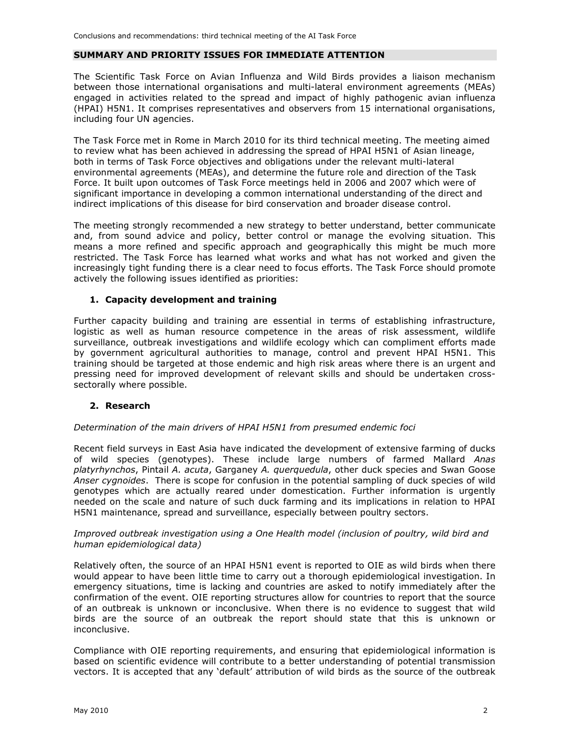#### **SUMMARY AND PRIORITY ISSUES FOR IMMEDIATE ATTENTION**

The Scientific Task Force on Avian Influenza and Wild Birds provides a liaison mechanism between those international organisations and multi-lateral environment agreements (MEAs) engaged in activities related to the spread and impact of highly pathogenic avian influenza (HPAI) H5N1. It comprises representatives and observers from 15 international organisations, including four UN agencies.

The Task Force met in Rome in March 2010 for its third technical meeting. The meeting aimed to review what has been achieved in addressing the spread of HPAI H5N1 of Asian lineage, both in terms of Task Force objectives and obligations under the relevant multi-lateral environmental agreements (MEAs), and determine the future role and direction of the Task Force. It built upon outcomes of Task Force meetings held in 2006 and 2007 which were of significant importance in developing a common international understanding of the direct and indirect implications of this disease for bird conservation and broader disease control.

The meeting strongly recommended a new strategy to better understand, better communicate and, from sound advice and policy, better control or manage the evolving situation. This means a more refined and specific approach and geographically this might be much more restricted. The Task Force has learned what works and what has not worked and given the increasingly tight funding there is a clear need to focus efforts. The Task Force should promote actively the following issues identified as priorities:

#### **1. Capacity development and training**

Further capacity building and training are essential in terms of establishing infrastructure, logistic as well as human resource competence in the areas of risk assessment, wildlife surveillance, outbreak investigations and wildlife ecology which can compliment efforts made by government agricultural authorities to manage, control and prevent HPAI H5N1. This training should be targeted at those endemic and high risk areas where there is an urgent and pressing need for improved development of relevant skills and should be undertaken crosssectorally where possible.

#### **2. Research**

#### *Determination of the main drivers of HPAI H5N1 from presumed endemic foci*

Recent field surveys in East Asia have indicated the development of extensive farming of ducks of wild species (genotypes). These include large numbers of farmed Mallard *Anas platyrhynchos*, Pintail *A. acuta*, Garganey *A. querquedula*, other duck species and Swan Goose *Anser cygnoides*. There is scope for confusion in the potential sampling of duck species of wild genotypes which are actually reared under domestication. Further information is urgently needed on the scale and nature of such duck farming and its implications in relation to HPAI H5N1 maintenance, spread and surveillance, especially between poultry sectors.

#### *Improved outbreak investigation using a One Health model (inclusion of poultry, wild bird and human epidemiological data)*

Relatively often, the source of an HPAI H5N1 event is reported to OIE as wild birds when there would appear to have been little time to carry out a thorough epidemiological investigation. In emergency situations, time is lacking and countries are asked to notify immediately after the confirmation of the event. OIE reporting structures allow for countries to report that the source of an outbreak is unknown or inconclusive. When there is no evidence to suggest that wild birds are the source of an outbreak the report should state that this is unknown or inconclusive.

Compliance with OIE reporting requirements, and ensuring that epidemiological information is based on scientific evidence will contribute to a better understanding of potential transmission vectors. It is accepted that any 'default' attribution of wild birds as the source of the outbreak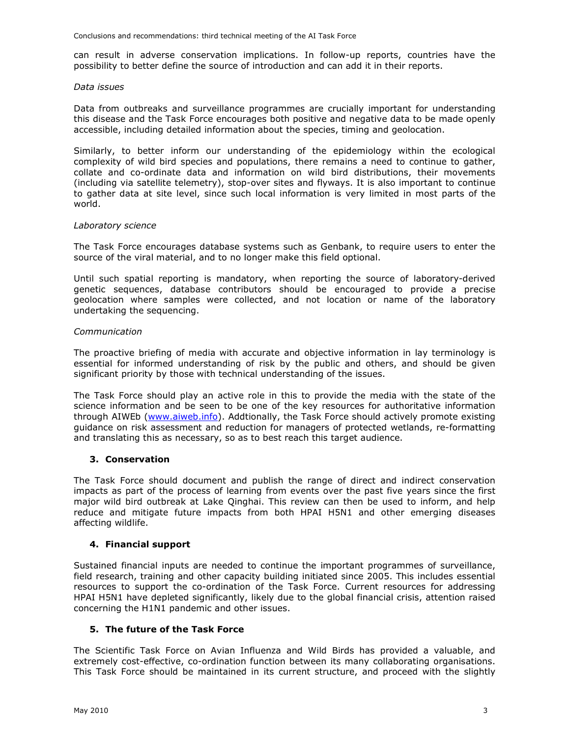Conclusions and recommendations: third technical meeting of the AI Task Force

can result in adverse conservation implications. In follow-up reports, countries have the possibility to better define the source of introduction and can add it in their reports.

#### *Data issues*

Data from outbreaks and surveillance programmes are crucially important for understanding this disease and the Task Force encourages both positive and negative data to be made openly accessible, including detailed information about the species, timing and geolocation.

Similarly, to better inform our understanding of the epidemiology within the ecological complexity of wild bird species and populations, there remains a need to continue to gather, collate and co-ordinate data and information on wild bird distributions, their movements (including via satellite telemetry), stop-over sites and flyways. It is also important to continue to gather data at site level, since such local information is very limited in most parts of the world.

#### *Laboratory science*

The Task Force encourages database systems such as Genbank, to require users to enter the source of the viral material, and to no longer make this field optional.

Until such spatial reporting is mandatory, when reporting the source of laboratory-derived genetic sequences, database contributors should be encouraged to provide a precise geolocation where samples were collected, and not location or name of the laboratory undertaking the sequencing.

#### *Communication*

The proactive briefing of media with accurate and objective information in lay terminology is essential for informed understanding of risk by the public and others, and should be given significant priority by those with technical understanding of the issues.

The Task Force should play an active role in this to provide the media with the state of the science information and be seen to be one of the key resources for authoritative information through AIWEb (www.aiweb.info). Addtionally, the Task Force should actively promote existing guidance on risk assessment and reduction for managers of protected wetlands, re-formatting and translating this as necessary, so as to best reach this target audience.

#### **3. Conservation**

The Task Force should document and publish the range of direct and indirect conservation impacts as part of the process of learning from events over the past five years since the first major wild bird outbreak at Lake Qinghai. This review can then be used to inform, and help reduce and mitigate future impacts from both HPAI H5N1 and other emerging diseases affecting wildlife.

#### **4. Financial support**

Sustained financial inputs are needed to continue the important programmes of surveillance, field research, training and other capacity building initiated since 2005. This includes essential resources to support the co-ordination of the Task Force. Current resources for addressing HPAI H5N1 have depleted significantly, likely due to the global financial crisis, attention raised concerning the H1N1 pandemic and other issues.

#### **5. The future of the Task Force**

The Scientific Task Force on Avian Influenza and Wild Birds has provided a valuable, and extremely cost-effective, co-ordination function between its many collaborating organisations. This Task Force should be maintained in its current structure, and proceed with the slightly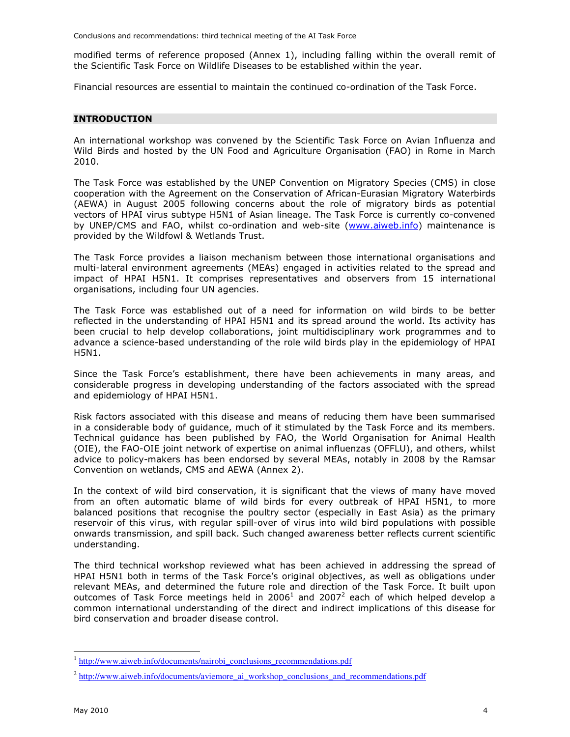Conclusions and recommendations: third technical meeting of the AI Task Force

modified terms of reference proposed (Annex 1), including falling within the overall remit of the Scientific Task Force on Wildlife Diseases to be established within the year.

Financial resources are essential to maintain the continued co-ordination of the Task Force.

#### **INTRODUCTION**

An international workshop was convened by the Scientific Task Force on Avian Influenza and Wild Birds and hosted by the UN Food and Agriculture Organisation (FAO) in Rome in March 2010.

The Task Force was established by the UNEP Convention on Migratory Species (CMS) in close cooperation with the Agreement on the Conservation of African-Eurasian Migratory Waterbirds (AEWA) in August 2005 following concerns about the role of migratory birds as potential vectors of HPAI virus subtype H5N1 of Asian lineage. The Task Force is currently co-convened by UNEP/CMS and FAO, whilst co-ordination and web-site (www.aiweb.info) maintenance is provided by the Wildfowl & Wetlands Trust.

The Task Force provides a liaison mechanism between those international organisations and multi-lateral environment agreements (MEAs) engaged in activities related to the spread and impact of HPAI H5N1. It comprises representatives and observers from 15 international organisations, including four UN agencies.

The Task Force was established out of a need for information on wild birds to be better reflected in the understanding of HPAI H5N1 and its spread around the world. Its activity has been crucial to help develop collaborations, joint multidisciplinary work programmes and to advance a science-based understanding of the role wild birds play in the epidemiology of HPAI H5N1.

Since the Task Force's establishment, there have been achievements in many areas, and considerable progress in developing understanding of the factors associated with the spread and epidemiology of HPAI H5N1.

Risk factors associated with this disease and means of reducing them have been summarised in a considerable body of guidance, much of it stimulated by the Task Force and its members. Technical guidance has been published by FAO, the World Organisation for Animal Health (OIE), the FAO-OIE joint network of expertise on animal influenzas (OFFLU), and others, whilst advice to policy-makers has been endorsed by several MEAs, notably in 2008 by the Ramsar Convention on wetlands, CMS and AEWA (Annex 2).

In the context of wild bird conservation, it is significant that the views of many have moved from an often automatic blame of wild birds for every outbreak of HPAI H5N1, to more balanced positions that recognise the poultry sector (especially in East Asia) as the primary reservoir of this virus, with regular spill-over of virus into wild bird populations with possible onwards transmission, and spill back. Such changed awareness better reflects current scientific understanding.

The third technical workshop reviewed what has been achieved in addressing the spread of HPAI H5N1 both in terms of the Task Force's original objectives, as well as obligations under relevant MEAs, and determined the future role and direction of the Task Force. It built upon outcomes of Task Force meetings held in 2006<sup>1</sup> and 2007<sup>2</sup> each of which helped develop a common international understanding of the direct and indirect implications of this disease for bird conservation and broader disease control.

-

<sup>1</sup> http://www.aiweb.info/documents/nairobi\_conclusions\_recommendations.pdf

<sup>&</sup>lt;sup>2</sup> http://www.aiweb.info/documents/aviemore\_ai\_workshop\_conclusions\_and\_recommendations.pdf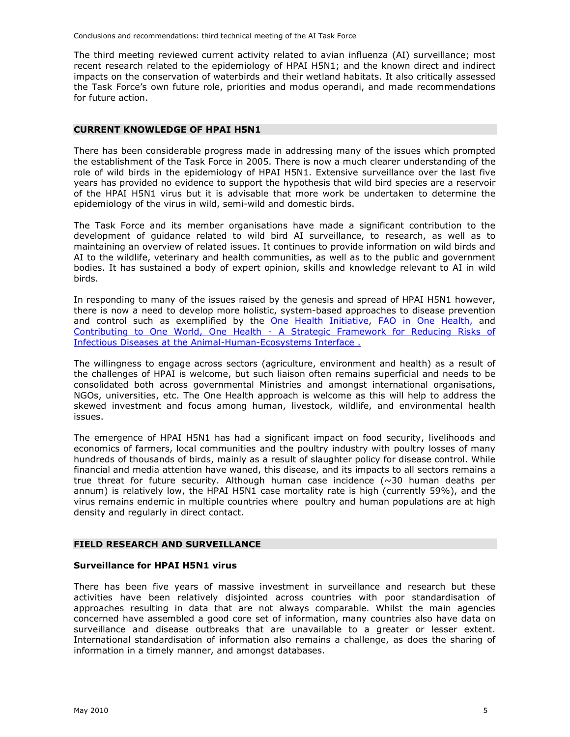The third meeting reviewed current activity related to avian influenza (AI) surveillance; most recent research related to the epidemiology of HPAI H5N1; and the known direct and indirect impacts on the conservation of waterbirds and their wetland habitats. It also critically assessed the Task Force's own future role, priorities and modus operandi, and made recommendations for future action.

#### **CURRENT KNOWLEDGE OF HPAI H5N1**

There has been considerable progress made in addressing many of the issues which prompted the establishment of the Task Force in 2005. There is now a much clearer understanding of the role of wild birds in the epidemiology of HPAI H5N1. Extensive surveillance over the last five years has provided no evidence to support the hypothesis that wild bird species are a reservoir of the HPAI H5N1 virus but it is advisable that more work be undertaken to determine the epidemiology of the virus in wild, semi-wild and domestic birds.

The Task Force and its member organisations have made a significant contribution to the development of guidance related to wild bird AI surveillance, to research, as well as to maintaining an overview of related issues. It continues to provide information on wild birds and AI to the wildlife, veterinary and health communities, as well as to the public and government bodies. It has sustained a body of expert opinion, skills and knowledge relevant to AI in wild birds.

In responding to many of the issues raised by the genesis and spread of HPAI H5N1 however, there is now a need to develop more holistic, system-based approaches to disease prevention and control such as exemplified by the One Health Initiative, FAO in One Health, and Contributing to One World, One Health - A Strategic Framework for Reducing Risks of Infectious Diseases at the Animal-Human-Ecosystems Interface .

The willingness to engage across sectors (agriculture, environment and health) as a result of the challenges of HPAI is welcome, but such liaison often remains superficial and needs to be consolidated both across governmental Ministries and amongst international organisations, NGOs, universities, etc. The One Health approach is welcome as this will help to address the skewed investment and focus among human, livestock, wildlife, and environmental health issues.

The emergence of HPAI H5N1 has had a significant impact on food security, livelihoods and economics of farmers, local communities and the poultry industry with poultry losses of many hundreds of thousands of birds, mainly as a result of slaughter policy for disease control. While financial and media attention have waned, this disease, and its impacts to all sectors remains a true threat for future security. Although human case incidence  $(\sim]30$  human deaths per annum) is relatively low, the HPAI H5N1 case mortality rate is high (currently 59%), and the virus remains endemic in multiple countries where poultry and human populations are at high density and regularly in direct contact.

#### **FIELD RESEARCH AND SURVEILLANCE**

#### **Surveillance for HPAI H5N1 virus**

There has been five years of massive investment in surveillance and research but these activities have been relatively disjointed across countries with poor standardisation of approaches resulting in data that are not always comparable. Whilst the main agencies concerned have assembled a good core set of information, many countries also have data on surveillance and disease outbreaks that are unavailable to a greater or lesser extent. International standardisation of information also remains a challenge, as does the sharing of information in a timely manner, and amongst databases.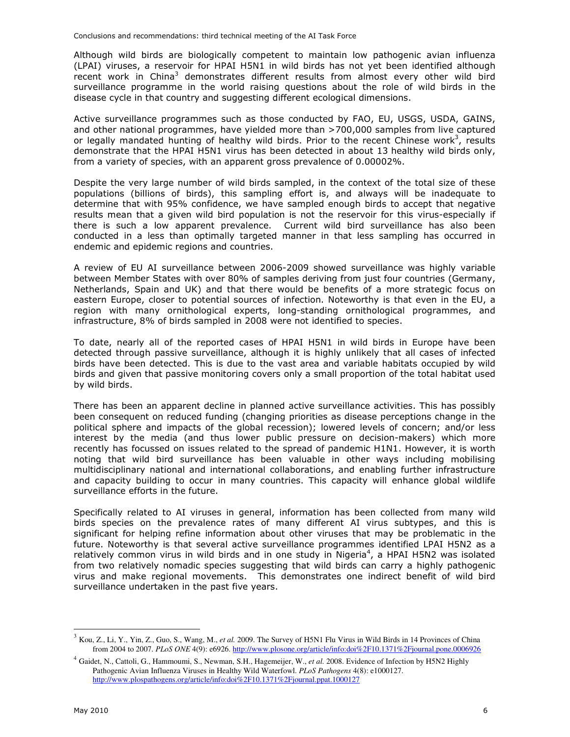Although wild birds are biologically competent to maintain low pathogenic avian influenza (LPAI) viruses, a reservoir for HPAI H5N1 in wild birds has not yet been identified although recent work in China<sup>3</sup> demonstrates different results from almost every other wild bird surveillance programme in the world raising questions about the role of wild birds in the disease cycle in that country and suggesting different ecological dimensions.

Active surveillance programmes such as those conducted by FAO, EU, USGS, USDA, GAINS, and other national programmes, have yielded more than >700,000 samples from live captured or legally mandated hunting of healthy wild birds. Prior to the recent Chinese work<sup>3</sup>, results demonstrate that the HPAI H5N1 virus has been detected in about 13 healthy wild birds only, from a variety of species, with an apparent gross prevalence of 0.00002%.

Despite the very large number of wild birds sampled, in the context of the total size of these populations (billions of birds), this sampling effort is, and always will be inadequate to determine that with 95% confidence, we have sampled enough birds to accept that negative results mean that a given wild bird population is not the reservoir for this virus-especially if there is such a low apparent prevalence. Current wild bird surveillance has also been conducted in a less than optimally targeted manner in that less sampling has occurred in endemic and epidemic regions and countries.

A review of EU AI surveillance between 2006-2009 showed surveillance was highly variable between Member States with over 80% of samples deriving from just four countries (Germany, Netherlands, Spain and UK) and that there would be benefits of a more strategic focus on eastern Europe, closer to potential sources of infection. Noteworthy is that even in the EU, a region with many ornithological experts, long-standing ornithological programmes, and infrastructure, 8% of birds sampled in 2008 were not identified to species.

To date, nearly all of the reported cases of HPAI H5N1 in wild birds in Europe have been detected through passive surveillance, although it is highly unlikely that all cases of infected birds have been detected. This is due to the vast area and variable habitats occupied by wild birds and given that passive monitoring covers only a small proportion of the total habitat used by wild birds.

There has been an apparent decline in planned active surveillance activities. This has possibly been consequent on reduced funding (changing priorities as disease perceptions change in the political sphere and impacts of the global recession); lowered levels of concern; and/or less interest by the media (and thus lower public pressure on decision-makers) which more recently has focussed on issues related to the spread of pandemic H1N1. However, it is worth noting that wild bird surveillance has been valuable in other ways including mobilising multidisciplinary national and international collaborations, and enabling further infrastructure and capacity building to occur in many countries. This capacity will enhance global wildlife surveillance efforts in the future.

Specifically related to AI viruses in general, information has been collected from many wild birds species on the prevalence rates of many different AI virus subtypes, and this is significant for helping refine information about other viruses that may be problematic in the future. Noteworthy is that several active surveillance programmes identified LPAI H5N2 as a relatively common virus in wild birds and in one study in Nigeria<sup>4</sup>, a HPAI H5N2 was isolated from two relatively nomadic species suggesting that wild birds can carry a highly pathogenic virus and make regional movements. This demonstrates one indirect benefit of wild bird surveillance undertaken in the past five years.

-

<sup>3</sup> Kou, Z., Li, Y., Yin, Z., Guo, S., Wang, M., *et al.* 2009. The Survey of H5N1 Flu Virus in Wild Birds in 14 Provinces of China from 2004 to 2007. *PLoS ONE* 4(9): e6926. http://www.plosone.org/article/info:doi%2F10.1371%2Fjournal.pone.0006926

<sup>4</sup> Gaidet, N., Cattoli, G., Hammoumi, S., Newman, S.H., Hagemeijer, W., *et al.* 2008. Evidence of Infection by H5N2 Highly Pathogenic Avian Influenza Viruses in Healthy Wild Waterfowl. *PLoS Pathogens* 4(8): e1000127. http://www.plospathogens.org/article/info:doi%2F10.1371%2Fjournal.ppat.1000127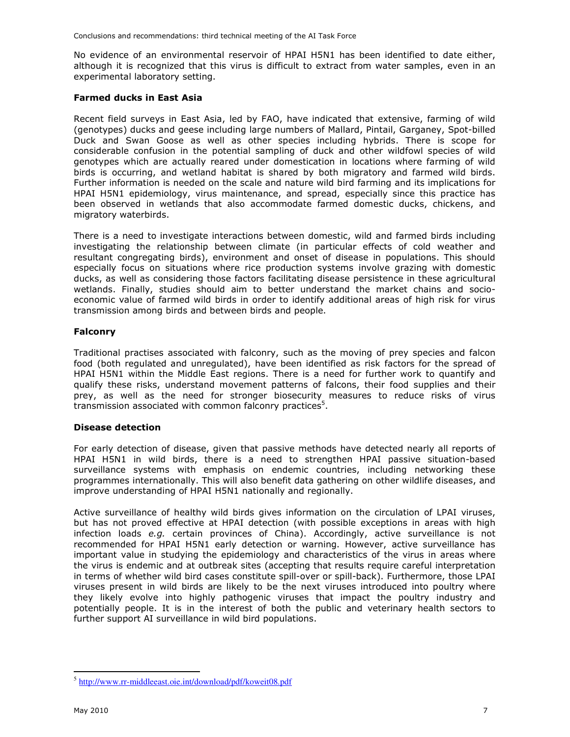No evidence of an environmental reservoir of HPAI H5N1 has been identified to date either, although it is recognized that this virus is difficult to extract from water samples, even in an experimental laboratory setting.

#### **Farmed ducks in East Asia**

Recent field surveys in East Asia, led by FAO, have indicated that extensive, farming of wild (genotypes) ducks and geese including large numbers of Mallard, Pintail, Garganey, Spot-billed Duck and Swan Goose as well as other species including hybrids. There is scope for considerable confusion in the potential sampling of duck and other wildfowl species of wild genotypes which are actually reared under domestication in locations where farming of wild birds is occurring, and wetland habitat is shared by both migratory and farmed wild birds. Further information is needed on the scale and nature wild bird farming and its implications for HPAI H5N1 epidemiology, virus maintenance, and spread, especially since this practice has been observed in wetlands that also accommodate farmed domestic ducks, chickens, and migratory waterbirds.

There is a need to investigate interactions between domestic, wild and farmed birds including investigating the relationship between climate (in particular effects of cold weather and resultant congregating birds), environment and onset of disease in populations. This should especially focus on situations where rice production systems involve grazing with domestic ducks, as well as considering those factors facilitating disease persistence in these agricultural wetlands. Finally, studies should aim to better understand the market chains and socioeconomic value of farmed wild birds in order to identify additional areas of high risk for virus transmission among birds and between birds and people.

#### **Falconry**

Traditional practises associated with falconry, such as the moving of prey species and falcon food (both regulated and unregulated), have been identified as risk factors for the spread of HPAI H5N1 within the Middle East regions. There is a need for further work to quantify and qualify these risks, understand movement patterns of falcons, their food supplies and their prey, as well as the need for stronger biosecurity measures to reduce risks of virus transmission associated with common falconry practices $5$ .

#### **Disease detection**

For early detection of disease, given that passive methods have detected nearly all reports of HPAI H5N1 in wild birds, there is a need to strengthen HPAI passive situation-based surveillance systems with emphasis on endemic countries, including networking these programmes internationally. This will also benefit data gathering on other wildlife diseases, and improve understanding of HPAI H5N1 nationally and regionally.

Active surveillance of healthy wild birds gives information on the circulation of LPAI viruses, but has not proved effective at HPAI detection (with possible exceptions in areas with high infection loads *e.g.* certain provinces of China). Accordingly, active surveillance is not recommended for HPAI H5N1 early detection or warning. However, active surveillance has important value in studying the epidemiology and characteristics of the virus in areas where the virus is endemic and at outbreak sites (accepting that results require careful interpretation in terms of whether wild bird cases constitute spill-over or spill-back). Furthermore, those LPAI viruses present in wild birds are likely to be the next viruses introduced into poultry where they likely evolve into highly pathogenic viruses that impact the poultry industry and potentially people. It is in the interest of both the public and veterinary health sectors to further support AI surveillance in wild bird populations.

 $\overline{a}$ <sup>5</sup> http://www.rr-middleeast.oie.int/download/pdf/koweit08.pdf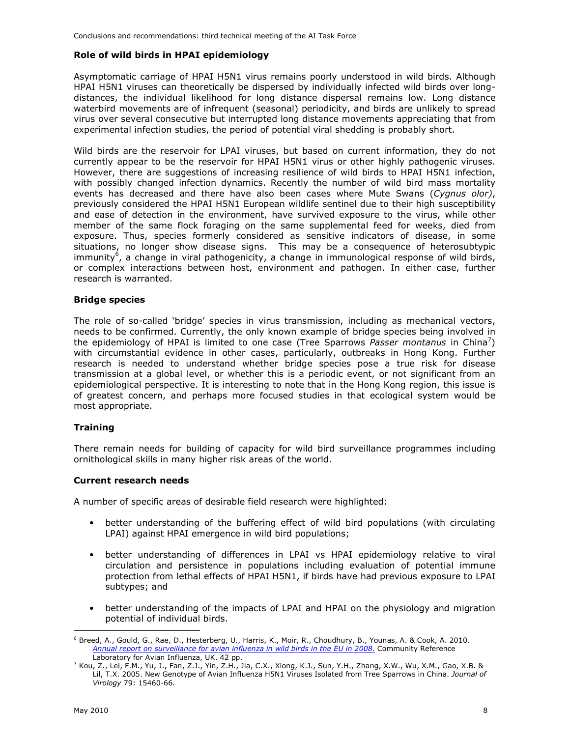#### **Role of wild birds in HPAI epidemiology**

Asymptomatic carriage of HPAI H5N1 virus remains poorly understood in wild birds. Although HPAI H5N1 viruses can theoretically be dispersed by individually infected wild birds over longdistances, the individual likelihood for long distance dispersal remains low. Long distance waterbird movements are of infrequent (seasonal) periodicity, and birds are unlikely to spread virus over several consecutive but interrupted long distance movements appreciating that from experimental infection studies, the period of potential viral shedding is probably short.

Wild birds are the reservoir for LPAI viruses, but based on current information, they do not currently appear to be the reservoir for HPAI H5N1 virus or other highly pathogenic viruses. However, there are suggestions of increasing resilience of wild birds to HPAI H5N1 infection, with possibly changed infection dynamics. Recently the number of wild bird mass mortality events has decreased and there have also been cases where Mute Swans (*Cygnus olor)*, previously considered the HPAI H5N1 European wildlife sentinel due to their high susceptibility and ease of detection in the environment, have survived exposure to the virus, while other member of the same flock foraging on the same supplemental feed for weeks, died from exposure. Thus, species formerly considered as sensitive indicators of disease, in some situations, no longer show disease signs. This may be a consequence of heterosubtypic immunity<sup>6</sup>, a change in viral pathogenicity, a change in immunological response of wild birds, or complex interactions between host, environment and pathogen. In either case, further research is warranted.

#### **Bridge species**

The role of so-called 'bridge' species in virus transmission, including as mechanical vectors, needs to be confirmed. Currently, the only known example of bridge species being involved in the epidemiology of HPAI is limited to one case (Tree Sparrows Passer montanus in China<sup>7</sup>) with circumstantial evidence in other cases, particularly, outbreaks in Hong Kong. Further research is needed to understand whether bridge species pose a true risk for disease transmission at a global level, or whether this is a periodic event, or not significant from an epidemiological perspective. It is interesting to note that in the Hong Kong region, this issue is of greatest concern, and perhaps more focused studies in that ecological system would be most appropriate.

#### **Training**

There remain needs for building of capacity for wild bird surveillance programmes including ornithological skills in many higher risk areas of the world.

#### **Current research needs**

A number of specific areas of desirable field research were highlighted:

- better understanding of the buffering effect of wild bird populations (with circulating LPAI) against HPAI emergence in wild bird populations;
- better understanding of differences in LPAI vs HPAI epidemiology relative to viral circulation and persistence in populations including evaluation of potential immune protection from lethal effects of HPAI H5N1, if birds have had previous exposure to LPAI subtypes; and
- better understanding of the impacts of LPAI and HPAI on the physiology and migration potential of individual birds.

<sup>-</sup>6 Breed, A., Gould, G., Rae, D., Hesterberg, U., Harris, K., Moir, R., Choudhury, B., Younas, A. & Cook, A. 2010. *Annual report on surveillance for avian influenza in wild birds in the EU in 2008.* Community Reference Laboratory for Avian Influenza, UK. 42 pp.

 $^7$  Kou, Z., Lei, F.M., Yu, J., Fan, Z.J., Yin, Z.H., Jia, C.X., Xiong, K.J., Sun, Y.H., Zhang, X.W., Wu, X.M., Gao, X.B. & Lil, T.X. 2005. New Genotype of Avian Influenza H5N1 Viruses Isolated from Tree Sparrows in China. *Journal of Virology* 79: 15460-66.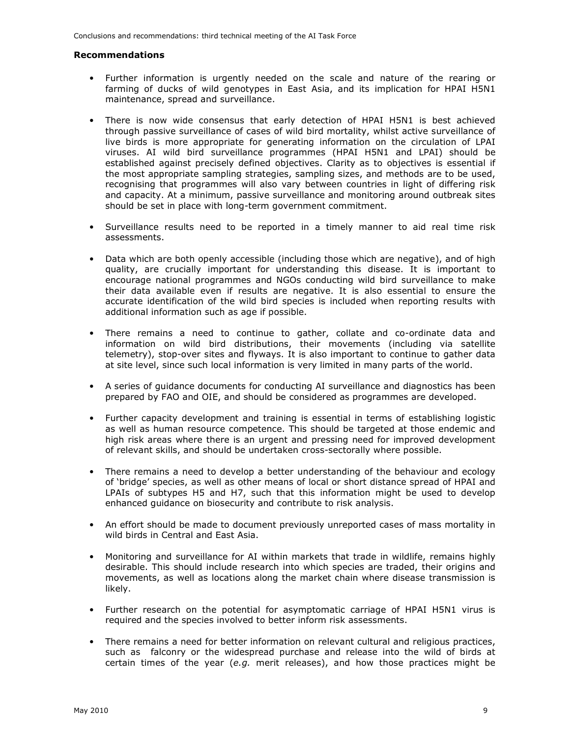#### **Recommendations**

- Further information is urgently needed on the scale and nature of the rearing or farming of ducks of wild genotypes in East Asia, and its implication for HPAI H5N1 maintenance, spread and surveillance.
- There is now wide consensus that early detection of HPAI H5N1 is best achieved through passive surveillance of cases of wild bird mortality, whilst active surveillance of live birds is more appropriate for generating information on the circulation of LPAI viruses. AI wild bird surveillance programmes (HPAI H5N1 and LPAI) should be established against precisely defined objectives. Clarity as to objectives is essential if the most appropriate sampling strategies, sampling sizes, and methods are to be used, recognising that programmes will also vary between countries in light of differing risk and capacity. At a minimum, passive surveillance and monitoring around outbreak sites should be set in place with long-term government commitment.
- Surveillance results need to be reported in a timely manner to aid real time risk assessments.
- Data which are both openly accessible (including those which are negative), and of high quality, are crucially important for understanding this disease. It is important to encourage national programmes and NGOs conducting wild bird surveillance to make their data available even if results are negative. It is also essential to ensure the accurate identification of the wild bird species is included when reporting results with additional information such as age if possible.
- There remains a need to continue to gather, collate and co-ordinate data and information on wild bird distributions, their movements (including via satellite telemetry), stop-over sites and flyways. It is also important to continue to gather data at site level, since such local information is very limited in many parts of the world.
- A series of guidance documents for conducting AI surveillance and diagnostics has been prepared by FAO and OIE, and should be considered as programmes are developed.
- Further capacity development and training is essential in terms of establishing logistic as well as human resource competence. This should be targeted at those endemic and high risk areas where there is an urgent and pressing need for improved development of relevant skills, and should be undertaken cross-sectorally where possible.
- There remains a need to develop a better understanding of the behaviour and ecology of 'bridge' species, as well as other means of local or short distance spread of HPAI and LPAIs of subtypes H5 and H7, such that this information might be used to develop enhanced guidance on biosecurity and contribute to risk analysis.
- An effort should be made to document previously unreported cases of mass mortality in wild birds in Central and East Asia.
- Monitoring and surveillance for AI within markets that trade in wildlife, remains highly desirable. This should include research into which species are traded, their origins and movements, as well as locations along the market chain where disease transmission is likely.
- Further research on the potential for asymptomatic carriage of HPAI H5N1 virus is required and the species involved to better inform risk assessments.
- There remains a need for better information on relevant cultural and religious practices, such as falconry or the widespread purchase and release into the wild of birds at certain times of the year (*e.g.* merit releases), and how those practices might be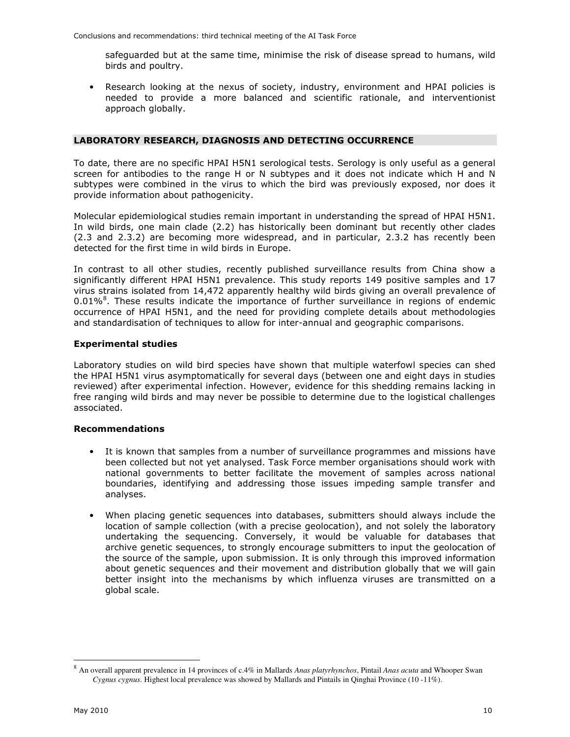safeguarded but at the same time, minimise the risk of disease spread to humans, wild birds and poultry.

Research looking at the nexus of society, industry, environment and HPAI policies is needed to provide a more balanced and scientific rationale, and interventionist approach globally.

### **LABORATORY RESEARCH, DIAGNOSIS AND DETECTING OCCURRENCE**

To date, there are no specific HPAI H5N1 serological tests. Serology is only useful as a general screen for antibodies to the range H or N subtypes and it does not indicate which H and N subtypes were combined in the virus to which the bird was previously exposed, nor does it provide information about pathogenicity.

Molecular epidemiological studies remain important in understanding the spread of HPAI H5N1. In wild birds, one main clade (2.2) has historically been dominant but recently other clades (2.3 and 2.3.2) are becoming more widespread, and in particular, 2.3.2 has recently been detected for the first time in wild birds in Europe.

In contrast to all other studies, recently published surveillance results from China show a significantly different HPAI H5N1 prevalence. This study reports 149 positive samples and 17 virus strains isolated from 14,472 apparently healthy wild birds giving an overall prevalence of 0.01%<sup>8</sup>. These results indicate the importance of further surveillance in regions of endemic occurrence of HPAI H5N1, and the need for providing complete details about methodologies and standardisation of techniques to allow for inter-annual and geographic comparisons.

#### **Experimental studies**

Laboratory studies on wild bird species have shown that multiple waterfowl species can shed the HPAI H5N1 virus asymptomatically for several days (between one and eight days in studies reviewed) after experimental infection. However, evidence for this shedding remains lacking in free ranging wild birds and may never be possible to determine due to the logistical challenges associated.

#### **Recommendations**

- It is known that samples from a number of surveillance programmes and missions have been collected but not yet analysed. Task Force member organisations should work with national governments to better facilitate the movement of samples across national boundaries, identifying and addressing those issues impeding sample transfer and analyses.
- When placing genetic sequences into databases, submitters should always include the location of sample collection (with a precise geolocation), and not solely the laboratory undertaking the sequencing. Conversely, it would be valuable for databases that archive genetic sequences, to strongly encourage submitters to input the geolocation of the source of the sample, upon submission. It is only through this improved information about genetic sequences and their movement and distribution globally that we will gain better insight into the mechanisms by which influenza viruses are transmitted on a global scale.

-

<sup>8</sup> An overall apparent prevalence in 14 provinces of c.4% in Mallards *Anas platyrhynchos*, Pintail *Anas acuta* and Whooper Swan *Cygnus cygnus*. Highest local prevalence was showed by Mallards and Pintails in Qinghai Province (10 -11%).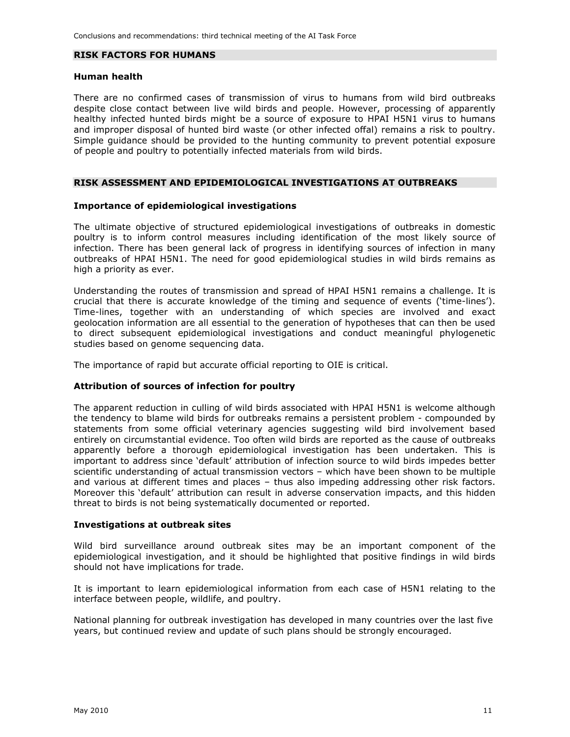#### **RISK FACTORS FOR HUMANS**

#### **Human health**

There are no confirmed cases of transmission of virus to humans from wild bird outbreaks despite close contact between live wild birds and people. However, processing of apparently healthy infected hunted birds might be a source of exposure to HPAI H5N1 virus to humans and improper disposal of hunted bird waste (or other infected offal) remains a risk to poultry. Simple guidance should be provided to the hunting community to prevent potential exposure of people and poultry to potentially infected materials from wild birds.

#### **RISK ASSESSMENT AND EPIDEMIOLOGICAL INVESTIGATIONS AT OUTBREAKS**

#### **Importance of epidemiological investigations**

The ultimate objective of structured epidemiological investigations of outbreaks in domestic poultry is to inform control measures including identification of the most likely source of infection. There has been general lack of progress in identifying sources of infection in many outbreaks of HPAI H5N1. The need for good epidemiological studies in wild birds remains as high a priority as ever.

Understanding the routes of transmission and spread of HPAI H5N1 remains a challenge. It is crucial that there is accurate knowledge of the timing and sequence of events ('time-lines'). Time-lines, together with an understanding of which species are involved and exact geolocation information are all essential to the generation of hypotheses that can then be used to direct subsequent epidemiological investigations and conduct meaningful phylogenetic studies based on genome sequencing data.

The importance of rapid but accurate official reporting to OIE is critical.

#### **Attribution of sources of infection for poultry**

The apparent reduction in culling of wild birds associated with HPAI H5N1 is welcome although the tendency to blame wild birds for outbreaks remains a persistent problem - compounded by statements from some official veterinary agencies suggesting wild bird involvement based entirely on circumstantial evidence. Too often wild birds are reported as the cause of outbreaks apparently before a thorough epidemiological investigation has been undertaken. This is important to address since 'default' attribution of infection source to wild birds impedes better scientific understanding of actual transmission vectors – which have been shown to be multiple and various at different times and places – thus also impeding addressing other risk factors. Moreover this 'default' attribution can result in adverse conservation impacts, and this hidden threat to birds is not being systematically documented or reported.

#### **Investigations at outbreak sites**

Wild bird surveillance around outbreak sites may be an important component of the epidemiological investigation, and it should be highlighted that positive findings in wild birds should not have implications for trade.

It is important to learn epidemiological information from each case of H5N1 relating to the interface between people, wildlife, and poultry.

National planning for outbreak investigation has developed in many countries over the last five years, but continued review and update of such plans should be strongly encouraged.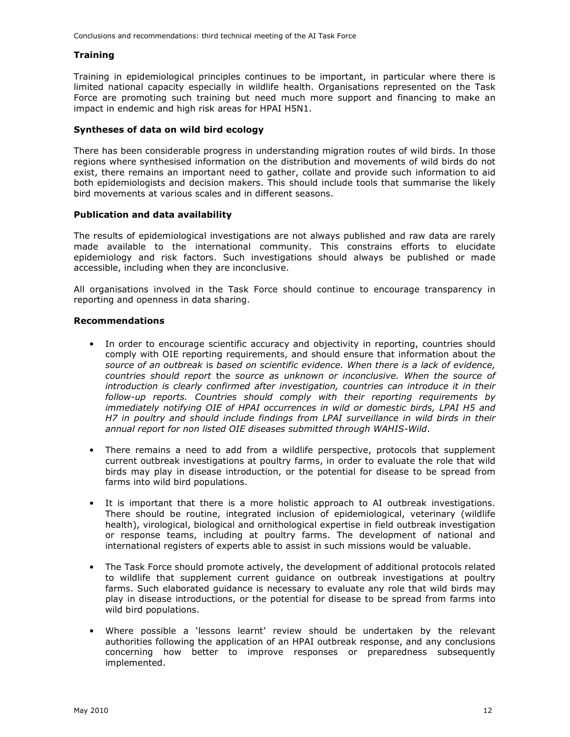#### **Training**

Training in epidemiological principles continues to be important, in particular where there is limited national capacity especially in wildlife health. Organisations represented on the Task Force are promoting such training but need much more support and financing to make an impact in endemic and high risk areas for HPAI H5N1.

#### **Syntheses of data on wild bird ecology**

There has been considerable progress in understanding migration routes of wild birds. In those regions where synthesised information on the distribution and movements of wild birds do not exist, there remains an important need to gather, collate and provide such information to aid both epidemiologists and decision makers. This should include tools that summarise the likely bird movements at various scales and in different seasons.

#### **Publication and data availability**

The results of epidemiological investigations are not always published and raw data are rarely made available to the international community. This constrains efforts to elucidate epidemiology and risk factors. Such investigations should always be published or made accessible, including when they are inconclusive.

All organisations involved in the Task Force should continue to encourage transparency in reporting and openness in data sharing.

#### **Recommendations**

- In order to encourage scientific accuracy and objectivity in reporting, countries should comply with OIE reporting requirements, and should ensure that information about th*e source of an outbreak* is *based on scientific evidence. When there is a lack of evidence, countries should report* the *source as unknown or inconclusive. When the source of introduction is clearly confirmed after investigation, countries can introduce it in their follow-up reports. Countries should comply with their reporting requirements by immediately notifying OIE of HPAI occurrences in wild or domestic birds, LPAI H5 and H7 in poultry and should include findings from LPAI surveillance in wild birds in their annual report for non listed OIE diseases submitted through WAHIS-Wild*.
- There remains a need to add from a wildlife perspective, protocols that supplement current outbreak investigations at poultry farms, in order to evaluate the role that wild birds may play in disease introduction, or the potential for disease to be spread from farms into wild bird populations.
- It is important that there is a more holistic approach to AI outbreak investigations. There should be routine, integrated inclusion of epidemiological, veterinary (wildlife health), virological, biological and ornithological expertise in field outbreak investigation or response teams, including at poultry farms. The development of national and international registers of experts able to assist in such missions would be valuable.
- The Task Force should promote actively, the development of additional protocols related to wildlife that supplement current guidance on outbreak investigations at poultry farms. Such elaborated guidance is necessary to evaluate any role that wild birds may play in disease introductions, or the potential for disease to be spread from farms into wild bird populations.
- Where possible a 'lessons learnt' review should be undertaken by the relevant authorities following the application of an HPAI outbreak response, and any conclusions concerning how better to improve responses or preparedness subsequently implemented.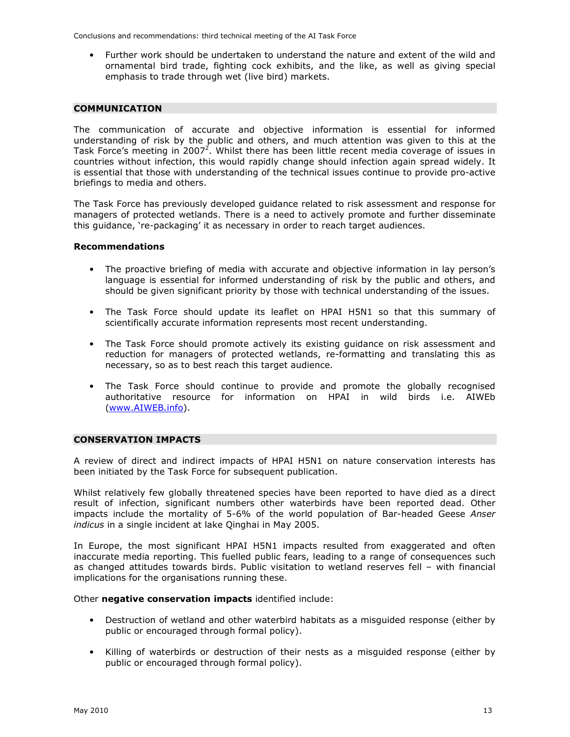Conclusions and recommendations: third technical meeting of the AI Task Force

• Further work should be undertaken to understand the nature and extent of the wild and ornamental bird trade, fighting cock exhibits, and the like, as well as giving special emphasis to trade through wet (live bird) markets.

#### **COMMUNICATION**

The communication of accurate and objective information is essential for informed understanding of risk by the public and others, and much attention was given to this at the Task Force's meeting in 2007<sup>2</sup>. Whilst there has been little recent media coverage of issues in countries without infection, this would rapidly change should infection again spread widely. It is essential that those with understanding of the technical issues continue to provide pro-active briefings to media and others.

The Task Force has previously developed guidance related to risk assessment and response for managers of protected wetlands. There is a need to actively promote and further disseminate this guidance, 're-packaging' it as necessary in order to reach target audiences.

#### **Recommendations**

- The proactive briefing of media with accurate and objective information in lay person's language is essential for informed understanding of risk by the public and others, and should be given significant priority by those with technical understanding of the issues.
- The Task Force should update its leaflet on HPAI H5N1 so that this summary of scientifically accurate information represents most recent understanding.
- The Task Force should promote actively its existing quidance on risk assessment and reduction for managers of protected wetlands, re-formatting and translating this as necessary, so as to best reach this target audience.
- The Task Force should continue to provide and promote the globally recognised authoritative resource for information on HPAI in wild birds i.e. AIWEb (www.AIWEB.info).

#### **CONSERVATION IMPACTS**

A review of direct and indirect impacts of HPAI H5N1 on nature conservation interests has been initiated by the Task Force for subsequent publication.

Whilst relatively few globally threatened species have been reported to have died as a direct result of infection, significant numbers other waterbirds have been reported dead. Other impacts include the mortality of 5-6% of the world population of Bar-headed Geese *Anser indicus* in a single incident at lake Qinghai in May 2005.

In Europe, the most significant HPAI H5N1 impacts resulted from exaggerated and often inaccurate media reporting. This fuelled public fears, leading to a range of consequences such as changed attitudes towards birds. Public visitation to wetland reserves fell – with financial implications for the organisations running these.

Other **negative conservation impacts** identified include:

- Destruction of wetland and other waterbird habitats as a misguided response (either by public or encouraged through formal policy).
- Killing of waterbirds or destruction of their nests as a misguided response (either by public or encouraged through formal policy).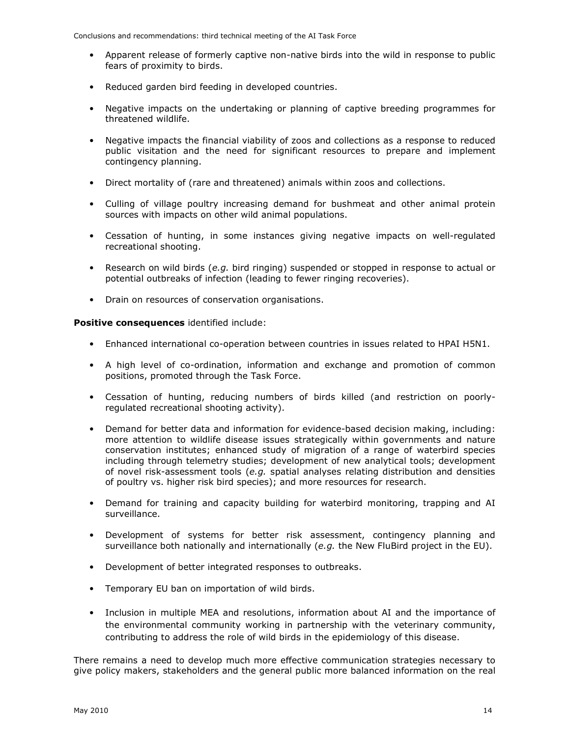- Apparent release of formerly captive non-native birds into the wild in response to public fears of proximity to birds.
- Reduced garden bird feeding in developed countries.
- Negative impacts on the undertaking or planning of captive breeding programmes for threatened wildlife.
- Negative impacts the financial viability of zoos and collections as a response to reduced public visitation and the need for significant resources to prepare and implement contingency planning.
- Direct mortality of (rare and threatened) animals within zoos and collections.
- Culling of village poultry increasing demand for bushmeat and other animal protein sources with impacts on other wild animal populations.
- Cessation of hunting, in some instances giving negative impacts on well-regulated recreational shooting.
- Research on wild birds (*e.g.* bird ringing) suspended or stopped in response to actual or potential outbreaks of infection (leading to fewer ringing recoveries).
- Drain on resources of conservation organisations.

**Positive consequences** identified include:

- Enhanced international co-operation between countries in issues related to HPAI H5N1.
- A high level of co-ordination, information and exchange and promotion of common positions, promoted through the Task Force.
- Cessation of hunting, reducing numbers of birds killed (and restriction on poorlyregulated recreational shooting activity).
- Demand for better data and information for evidence-based decision making, including: more attention to wildlife disease issues strategically within governments and nature conservation institutes; enhanced study of migration of a range of waterbird species including through telemetry studies; development of new analytical tools; development of novel risk-assessment tools (*e.g.* spatial analyses relating distribution and densities of poultry vs. higher risk bird species); and more resources for research.
- Demand for training and capacity building for waterbird monitoring, trapping and AI surveillance.
- Development of systems for better risk assessment, contingency planning and surveillance both nationally and internationally (*e.g.* the New FluBird project in the EU).
- Development of better integrated responses to outbreaks.
- Temporary EU ban on importation of wild birds.
- Inclusion in multiple MEA and resolutions, information about AI and the importance of the environmental community working in partnership with the veterinary community, contributing to address the role of wild birds in the epidemiology of this disease.

There remains a need to develop much more effective communication strategies necessary to give policy makers, stakeholders and the general public more balanced information on the real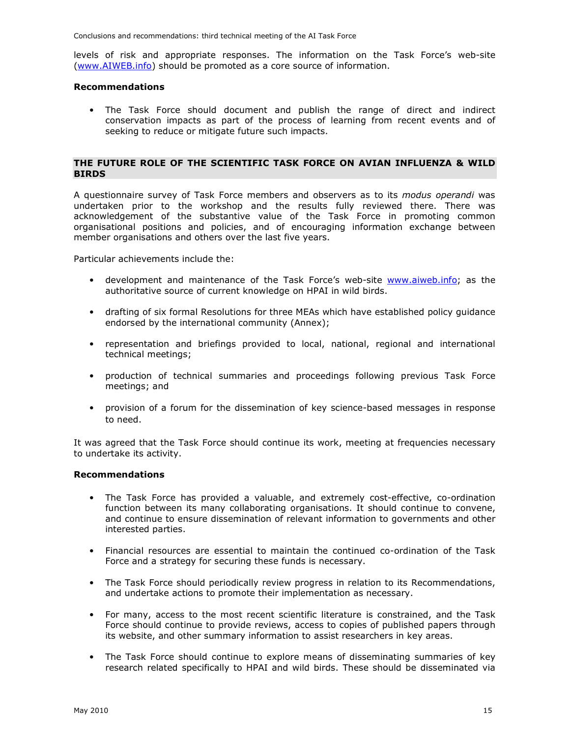Conclusions and recommendations: third technical meeting of the AI Task Force

levels of risk and appropriate responses. The information on the Task Force's web-site (www.AIWEB.info) should be promoted as a core source of information.

#### **Recommendations**

• The Task Force should document and publish the range of direct and indirect conservation impacts as part of the process of learning from recent events and of seeking to reduce or mitigate future such impacts.

#### **THE FUTURE ROLE OF THE SCIENTIFIC TASK FORCE ON AVIAN INFLUENZA & WILD BIRDS**

A questionnaire survey of Task Force members and observers as to its *modus operandi* was undertaken prior to the workshop and the results fully reviewed there. There was acknowledgement of the substantive value of the Task Force in promoting common organisational positions and policies, and of encouraging information exchange between member organisations and others over the last five years.

Particular achievements include the:

- development and maintenance of the Task Force's web-site www.aiweb.info; as the authoritative source of current knowledge on HPAI in wild birds.
- drafting of six formal Resolutions for three MEAs which have established policy guidance endorsed by the international community (Annex);
- representation and briefings provided to local, national, regional and international technical meetings;
- production of technical summaries and proceedings following previous Task Force meetings; and
- provision of a forum for the dissemination of key science-based messages in response to need.

It was agreed that the Task Force should continue its work, meeting at frequencies necessary to undertake its activity.

#### **Recommendations**

- The Task Force has provided a valuable, and extremely cost-effective, co-ordination function between its many collaborating organisations. It should continue to convene, and continue to ensure dissemination of relevant information to governments and other interested parties.
- Financial resources are essential to maintain the continued co-ordination of the Task Force and a strategy for securing these funds is necessary.
- The Task Force should periodically review progress in relation to its Recommendations, and undertake actions to promote their implementation as necessary.
- For many, access to the most recent scientific literature is constrained, and the Task Force should continue to provide reviews, access to copies of published papers through its website, and other summary information to assist researchers in key areas.
- The Task Force should continue to explore means of disseminating summaries of key research related specifically to HPAI and wild birds. These should be disseminated via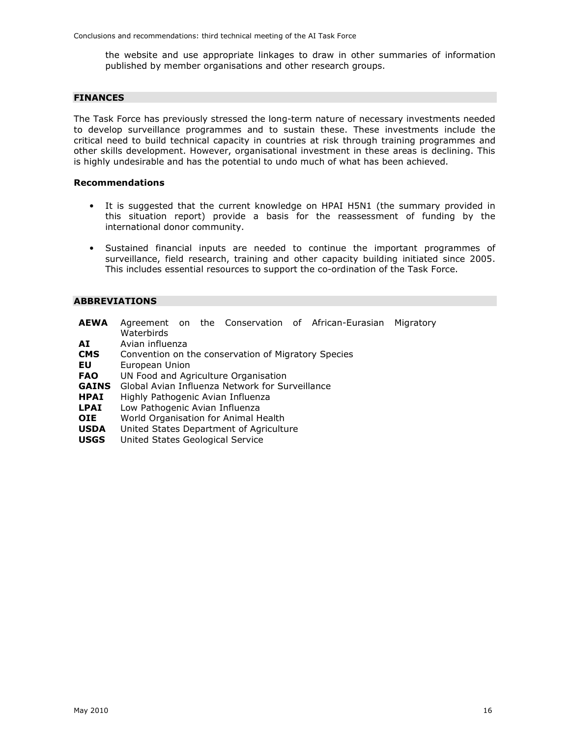the website and use appropriate linkages to draw in other summaries of information published by member organisations and other research groups.

#### **FINANCES**

The Task Force has previously stressed the long-term nature of necessary investments needed to develop surveillance programmes and to sustain these. These investments include the critical need to build technical capacity in countries at risk through training programmes and other skills development. However, organisational investment in these areas is declining. This is highly undesirable and has the potential to undo much of what has been achieved.

#### **Recommendations**

- It is suggested that the current knowledge on HPAI H5N1 (the summary provided in this situation report) provide a basis for the reassessment of funding by the international donor community.
- Sustained financial inputs are needed to continue the important programmes of surveillance, field research, training and other capacity building initiated since 2005. This includes essential resources to support the co-ordination of the Task Force.

#### **ABBREVIATIONS**

| Waterbirds |                                   |                                                                                                                                                                                         |                                         | Migratory                                                                                                                                                   |
|------------|-----------------------------------|-----------------------------------------------------------------------------------------------------------------------------------------------------------------------------------------|-----------------------------------------|-------------------------------------------------------------------------------------------------------------------------------------------------------------|
|            |                                   |                                                                                                                                                                                         |                                         |                                                                                                                                                             |
|            |                                   |                                                                                                                                                                                         |                                         |                                                                                                                                                             |
|            | Avian influenza<br>European Union | UN Food and Agriculture Organisation<br>Highly Pathogenic Avian Influenza<br>Low Pathogenic Avian Influenza<br>World Organisation for Animal Health<br>United States Geological Service | United States Department of Agriculture | Agreement on the Conservation of African-Eurasian<br>Convention on the conservation of Migratory Species<br>Global Avian Influenza Network for Surveillance |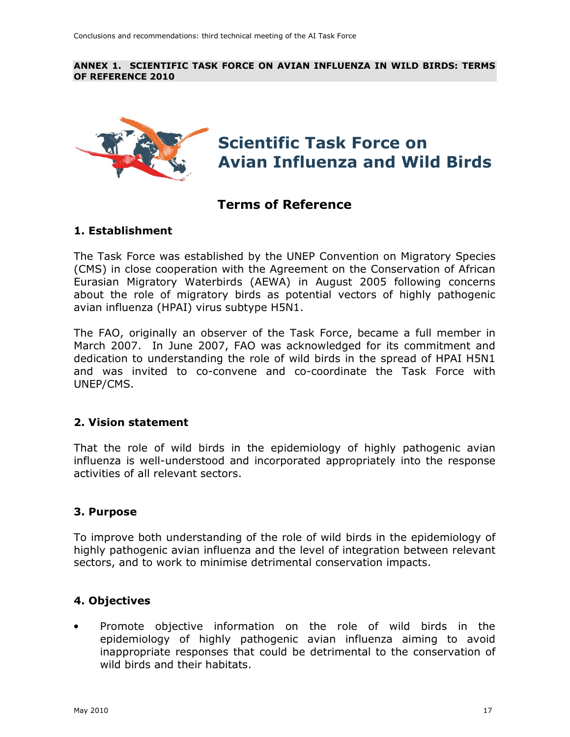#### **ANNEX 1. SCIENTIFIC TASK FORCE ON AVIAN INFLUENZA IN WILD BIRDS: TERMS OF REFERENCE 2010**



# **Scientific Task Force on Avian Influenza and Wild Birds**

# **Terms of Reference**

# **1. Establishment**

The Task Force was established by the UNEP Convention on Migratory Species (CMS) in close cooperation with the Agreement on the Conservation of African Eurasian Migratory Waterbirds (AEWA) in August 2005 following concerns about the role of migratory birds as potential vectors of highly pathogenic avian influenza (HPAI) virus subtype H5N1.

The FAO, originally an observer of the Task Force, became a full member in March 2007. In June 2007, FAO was acknowledged for its commitment and dedication to understanding the role of wild birds in the spread of HPAI H5N1 and was invited to co-convene and co-coordinate the Task Force with UNEP/CMS.

### **2. Vision statement**

That the role of wild birds in the epidemiology of highly pathogenic avian influenza is well-understood and incorporated appropriately into the response activities of all relevant sectors.

# **3. Purpose**

To improve both understanding of the role of wild birds in the epidemiology of highly pathogenic avian influenza and the level of integration between relevant sectors, and to work to minimise detrimental conservation impacts.

# **4. Objectives**

• Promote objective information on the role of wild birds in the epidemiology of highly pathogenic avian influenza aiming to avoid inappropriate responses that could be detrimental to the conservation of wild birds and their habitats.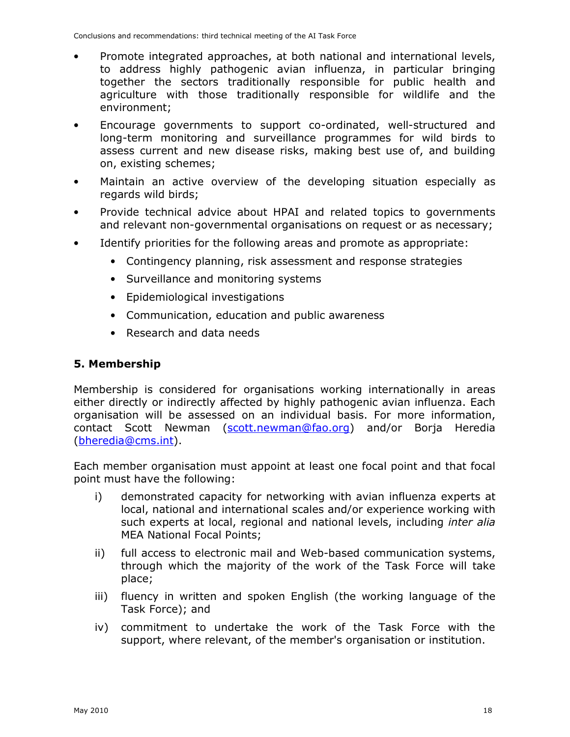- Promote integrated approaches, at both national and international levels, to address highly pathogenic avian influenza, in particular bringing together the sectors traditionally responsible for public health and agriculture with those traditionally responsible for wildlife and the environment;
- Encourage governments to support co-ordinated, well-structured and long-term monitoring and surveillance programmes for wild birds to assess current and new disease risks, making best use of, and building on, existing schemes;
- Maintain an active overview of the developing situation especially as regards wild birds;
- Provide technical advice about HPAI and related topics to governments and relevant non-governmental organisations on request or as necessary;
- Identify priorities for the following areas and promote as appropriate:
	- Contingency planning, risk assessment and response strategies
	- Surveillance and monitoring systems
	- Epidemiological investigations
	- Communication, education and public awareness
	- Research and data needs

# **5. Membership**

Membership is considered for organisations working internationally in areas either directly or indirectly affected by highly pathogenic avian influenza. Each organisation will be assessed on an individual basis. For more information, contact Scott Newman (scott.newman@fao.org) and/or Borja Heredia (bheredia@cms.int).

Each member organisation must appoint at least one focal point and that focal point must have the following:

- i) demonstrated capacity for networking with avian influenza experts at local, national and international scales and/or experience working with such experts at local, regional and national levels, including *inter alia* MEA National Focal Points;
- ii) full access to electronic mail and Web-based communication systems, through which the majority of the work of the Task Force will take place;
- iii) fluency in written and spoken English (the working language of the Task Force); and
- iv) commitment to undertake the work of the Task Force with the support, where relevant, of the member's organisation or institution.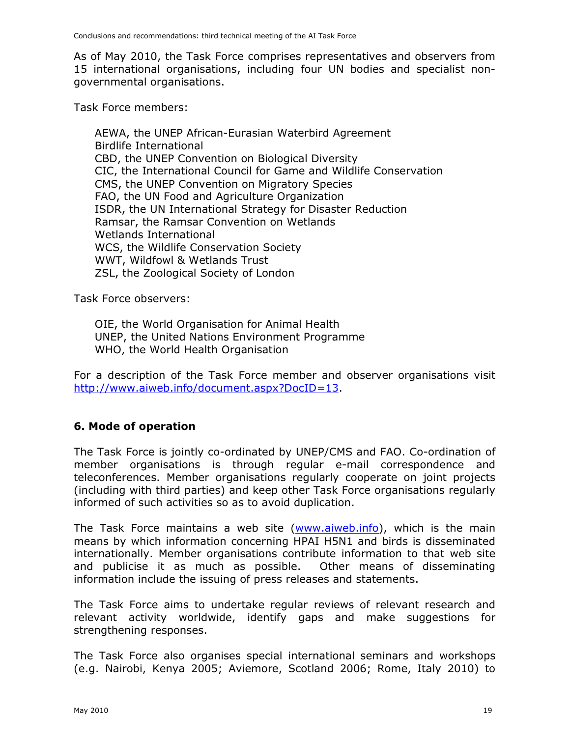As of May 2010, the Task Force comprises representatives and observers from 15 international organisations, including four UN bodies and specialist nongovernmental organisations.

Task Force members:

AEWA, the UNEP African-Eurasian Waterbird Agreement Birdlife International CBD, the UNEP Convention on Biological Diversity CIC, the International Council for Game and Wildlife Conservation CMS, the UNEP Convention on Migratory Species FAO, the UN Food and Agriculture Organization ISDR, the UN International Strategy for Disaster Reduction Ramsar, the Ramsar Convention on Wetlands Wetlands International WCS, the Wildlife Conservation Society WWT, Wildfowl & Wetlands Trust ZSL, the Zoological Society of London

Task Force observers:

OIE, the World Organisation for Animal Health UNEP, the United Nations Environment Programme WHO, the World Health Organisation

For a description of the Task Force member and observer organisations visit http://www.aiweb.info/document.aspx?DocID=13.

# **6. Mode of operation**

The Task Force is jointly co-ordinated by UNEP/CMS and FAO. Co-ordination of member organisations is through regular e-mail correspondence and teleconferences. Member organisations regularly cooperate on joint projects (including with third parties) and keep other Task Force organisations regularly informed of such activities so as to avoid duplication.

The Task Force maintains a web site (www.aiweb.info), which is the main means by which information concerning HPAI H5N1 and birds is disseminated internationally. Member organisations contribute information to that web site and publicise it as much as possible. Other means of disseminating information include the issuing of press releases and statements.

The Task Force aims to undertake regular reviews of relevant research and relevant activity worldwide, identify gaps and make suggestions for strengthening responses.

The Task Force also organises special international seminars and workshops (e.g. Nairobi, Kenya 2005; Aviemore, Scotland 2006; Rome, Italy 2010) to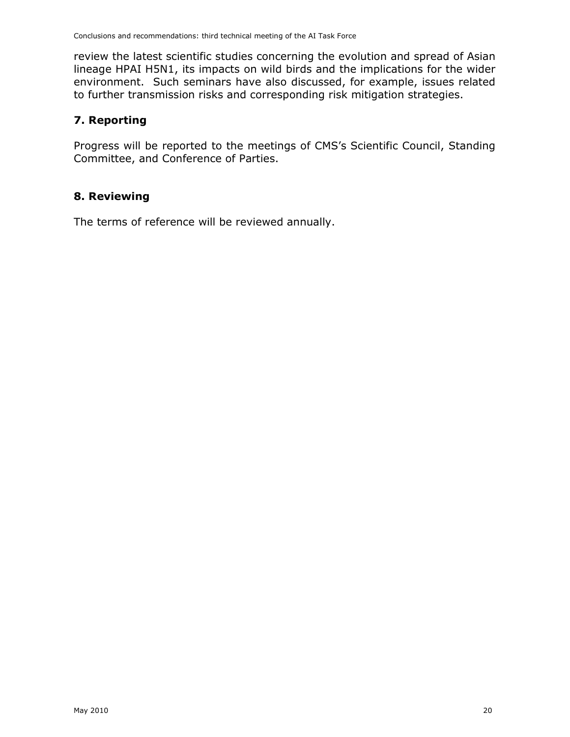review the latest scientific studies concerning the evolution and spread of Asian lineage HPAI H5N1, its impacts on wild birds and the implications for the wider environment. Such seminars have also discussed, for example, issues related to further transmission risks and corresponding risk mitigation strategies.

# **7. Reporting**

Progress will be reported to the meetings of CMS's Scientific Council, Standing Committee, and Conference of Parties.

# **8. Reviewing**

The terms of reference will be reviewed annually.